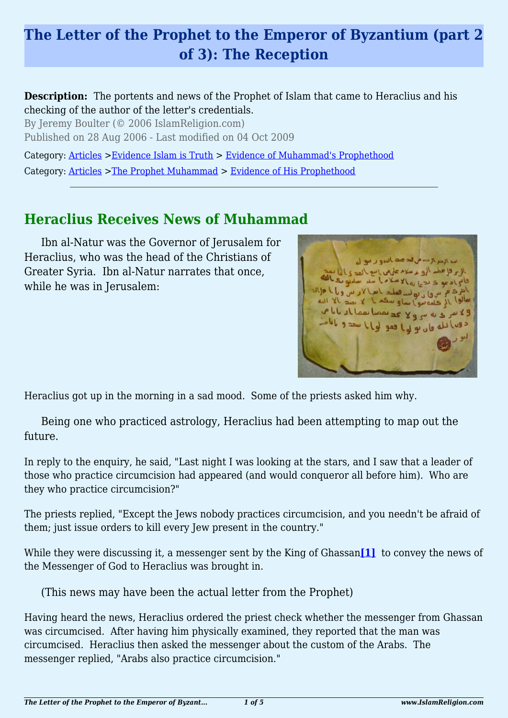# **The Letter of the Prophet to the Emperor of Byzantium (part 2 of 3): The Reception**

#### **Description:** The portents and news of the Prophet of Islam that came to Heraclius and his checking of the author of the letter's credentials.

By Jeremy Boulter (© 2006 IslamReligion.com) Published on 28 Aug 2006 - Last modified on 04 Oct 2009

Category: [Articles](http://www.islamreligion.com/articles/) >[Evidence Islam is Truth](http://www.islamreligion.com/category/33/) > [Evidence of Muhammad's Prophethood](http://www.islamreligion.com/category/38/)

Category: [Articles](http://www.islamreligion.com/articles/) >[The Prophet Muhammad](http://www.islamreligion.com/category/79/) > [Evidence of His Prophethood](http://www.islamreligion.com/category/118/)

## **Heraclius Receives News of Muhammad**

Ibn al-Natur was the Governor of Jerusalem for Heraclius, who was the head of the Christians of Greater Syria. Ibn al-Natur narrates that once, while he was in Jerusalem:

 $2m<sub>1</sub>$ which all lead lead of y g w دون الله قان بولها فقو

Heraclius got up in the morning in a sad mood. Some of the priests asked him why.

Being one who practiced astrology, Heraclius had been attempting to map out the future.

In reply to the enquiry, he said, "Last night I was looking at the stars, and I saw that a leader of those who practice circumcision had appeared (and would conqueror all before him). Who are they who practice circumcision?"

The priests replied, "Except the Jews nobody practices circumcision, and you needn't be afraid of them; just issue orders to kill every Jew present in the country."

<span id="page-0-0"></span>While they were discussing it, a messenger sent by the King of Ghassan<sup>[\[1\]](#page-3-0)</sup> to convey the news of the Messenger of God to Heraclius was brought in.

(This news may have been the actual letter from the Prophet)

Having heard the news, Heraclius ordered the priest check whether the messenger from Ghassan was circumcised. After having him physically examined, they reported that the man was circumcised. Heraclius then asked the messenger about the custom of the Arabs. The messenger replied, "Arabs also practice circumcision."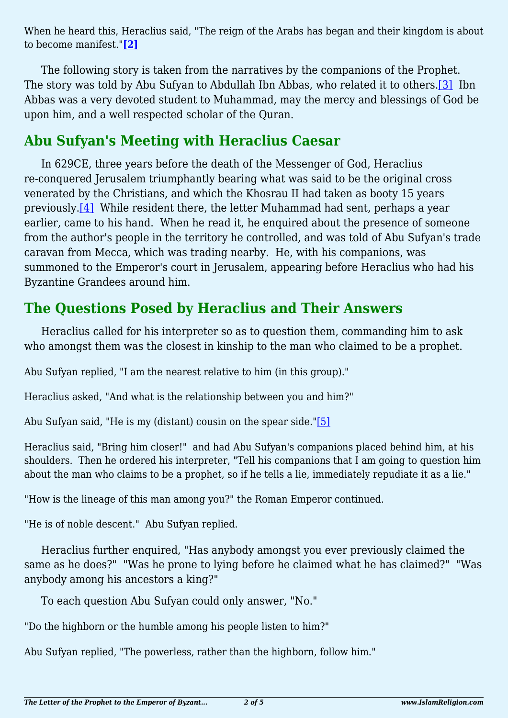<span id="page-1-0"></span>When he heard this, Heraclius said, "The reign of the Arabs has began and their kingdom is about to become manifest."**[\[2\]](#page-3-1)**

<span id="page-1-1"></span>The following story is taken from the narratives by the companions of the Prophet. The story was told by Abu Sufyan to Abdullah Ibn Abbas, who related it to others.[\[3\]](#page-3-2) Ibn Abbas was a very devoted student to Muhammad, may the mercy and blessings of God be upon him, and a well respected scholar of the Quran.

### **Abu Sufyan's Meeting with Heraclius Caesar**

<span id="page-1-2"></span>In 629CE, three years before the death of the Messenger of God, Heraclius re-conquered Jerusalem triumphantly bearing what was said to be the original cross venerated by the Christians, and which the Khosrau II had taken as booty 15 years previously[.\[4\]](#page-3-3) While resident there, the letter Muhammad had sent, perhaps a year earlier, came to his hand. When he read it, he enquired about the presence of someone from the author's people in the territory he controlled, and was told of Abu Sufyan's trade caravan from Mecca, which was trading nearby. He, with his companions, was summoned to the Emperor's court in Jerusalem, appearing before Heraclius who had his Byzantine Grandees around him.

## **The Questions Posed by Heraclius and Their Answers**

Heraclius called for his interpreter so as to question them, commanding him to ask who amongst them was the closest in kinship to the man who claimed to be a prophet.

Abu Sufyan replied, "I am the nearest relative to him (in this group)."

Heraclius asked, "And what is the relationship between you and him?"

<span id="page-1-3"></span>Abu Sufyan said, "He is my (distant) cousin on the spear side."[\[5\]](#page-3-4)

Heraclius said, "Bring him closer!" and had Abu Sufyan's companions placed behind him, at his shoulders. Then he ordered his interpreter, "Tell his companions that I am going to question him about the man who claims to be a prophet, so if he tells a lie, immediately repudiate it as a lie."

"How is the lineage of this man among you?" the Roman Emperor continued.

"He is of noble descent." Abu Sufyan replied.

Heraclius further enquired, "Has anybody amongst you ever previously claimed the same as he does?" "Was he prone to lying before he claimed what he has claimed?" "Was anybody among his ancestors a king?"

To each question Abu Sufyan could only answer, "No."

"Do the highborn or the humble among his people listen to him?"

Abu Sufyan replied, "The powerless, rather than the highborn, follow him."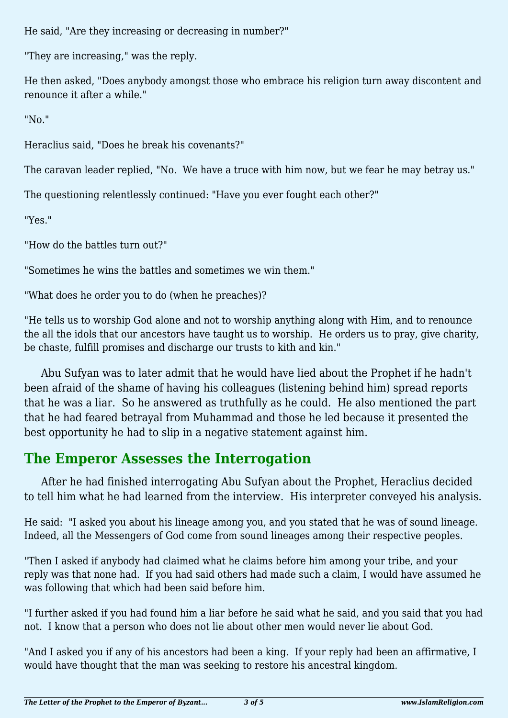He said, "Are they increasing or decreasing in number?"

"They are increasing," was the reply.

He then asked, "Does anybody amongst those who embrace his religion turn away discontent and renounce it after a while."

"No."

Heraclius said, "Does he break his covenants?"

The caravan leader replied, "No. We have a truce with him now, but we fear he may betray us."

The questioning relentlessly continued: "Have you ever fought each other?"

"Yes."

"How do the battles turn out?"

"Sometimes he wins the battles and sometimes we win them."

"What does he order you to do (when he preaches)?

"He tells us to worship God alone and not to worship anything along with Him, and to renounce the all the idols that our ancestors have taught us to worship. He orders us to pray, give charity, be chaste, fulfill promises and discharge our trusts to kith and kin."

Abu Sufyan was to later admit that he would have lied about the Prophet if he hadn't been afraid of the shame of having his colleagues (listening behind him) spread reports that he was a liar. So he answered as truthfully as he could. He also mentioned the part that he had feared betrayal from Muhammad and those he led because it presented the best opportunity he had to slip in a negative statement against him.

# **The Emperor Assesses the Interrogation**

After he had finished interrogating Abu Sufyan about the Prophet, Heraclius decided to tell him what he had learned from the interview. His interpreter conveyed his analysis.

He said: "I asked you about his lineage among you, and you stated that he was of sound lineage. Indeed, all the Messengers of God come from sound lineages among their respective peoples.

"Then I asked if anybody had claimed what he claims before him among your tribe, and your reply was that none had. If you had said others had made such a claim, I would have assumed he was following that which had been said before him.

"I further asked if you had found him a liar before he said what he said, and you said that you had not. I know that a person who does not lie about other men would never lie about God.

"And I asked you if any of his ancestors had been a king. If your reply had been an affirmative, I would have thought that the man was seeking to restore his ancestral kingdom.